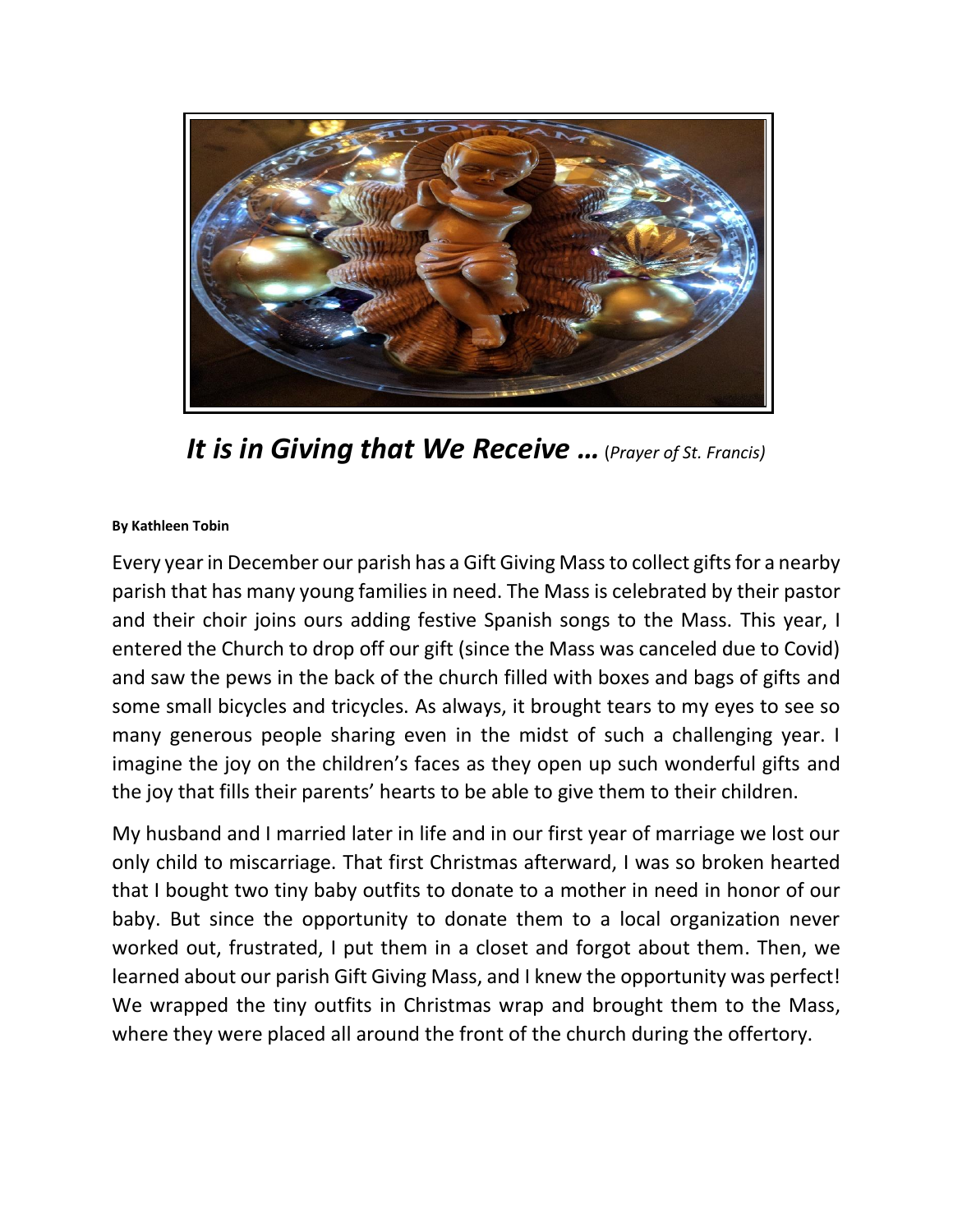

*It is in Giving that We Receive …*(*Prayer of St. Francis)*

## **By Kathleen Tobin**

Every year in December our parish has a Gift Giving Mass to collect gifts for a nearby parish that has many young families in need. The Mass is celebrated by their pastor and their choir joins ours adding festive Spanish songs to the Mass. This year, I entered the Church to drop off our gift (since the Mass was canceled due to Covid) and saw the pews in the back of the church filled with boxes and bags of gifts and some small bicycles and tricycles. As always, it brought tears to my eyes to see so many generous people sharing even in the midst of such a challenging year. I imagine the joy on the children's faces as they open up such wonderful gifts and the joy that fills their parents' hearts to be able to give them to their children.

My husband and I married later in life and in our first year of marriage we lost our only child to miscarriage. That first Christmas afterward, I was so broken hearted that I bought two tiny baby outfits to donate to a mother in need in honor of our baby. But since the opportunity to donate them to a local organization never worked out, frustrated, I put them in a closet and forgot about them. Then, we learned about our parish Gift Giving Mass, and I knew the opportunity was perfect! We wrapped the tiny outfits in Christmas wrap and brought them to the Mass, where they were placed all around the front of the church during the offertory.